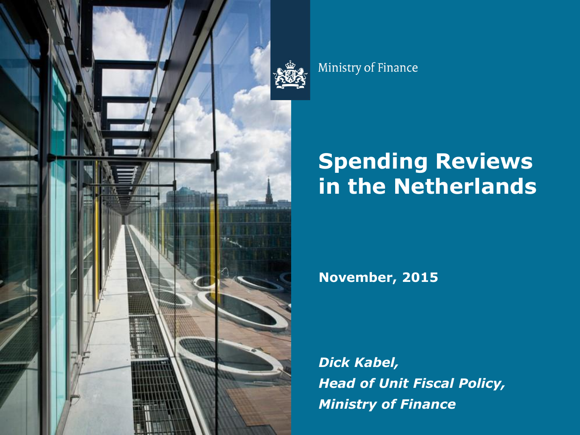

Ministry of Finance

# **Spending Reviews in the Netherlands**

**November, 2015**

*Dick Kabel, Head of Unit Fiscal Policy, Ministry of Finance*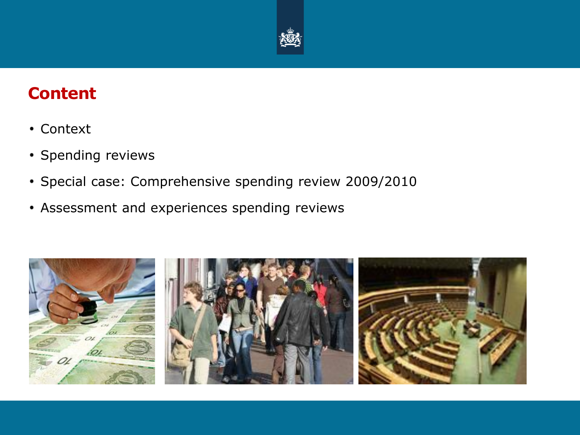

#### **Content**

- Context
- Spending reviews
- Special case: Comprehensive spending review 2009/2010
- Assessment and experiences spending reviews

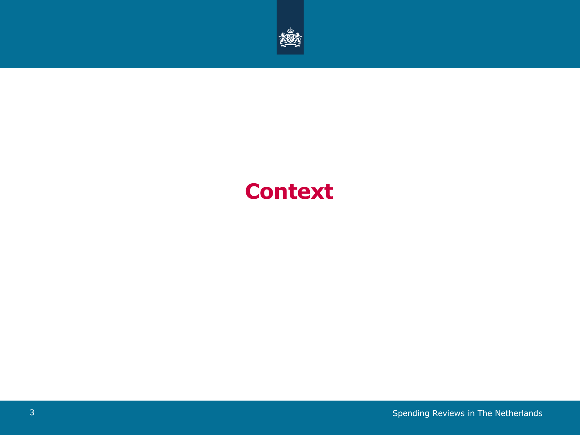

## **Context**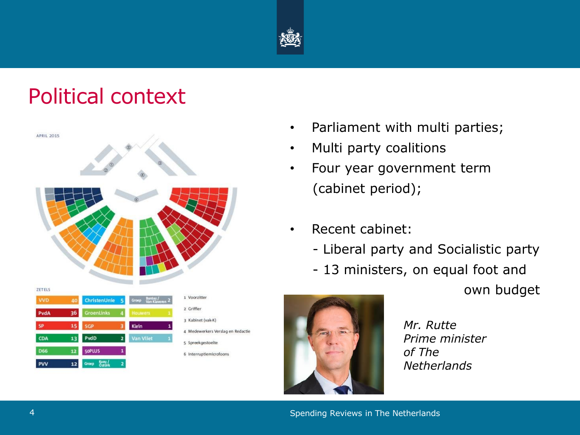

## Political context



- Parliament with multi parties;
- Multi party coalitions
- Four year government term (cabinet period);
- Recent cabinet:
	- Liberal party and Socialistic party
	- 13 ministers, on equal foot and

own budget



*Mr. Rutte Prime minister of The Netherlands*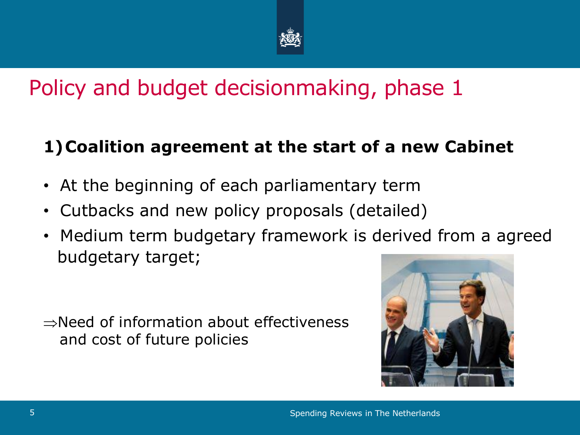

## Policy and budget decisionmaking, phase 1

#### **1)Coalition agreement at the start of a new Cabinet**

- At the beginning of each parliamentary term
- Cutbacks and new policy proposals (detailed)
- Medium term budgetary framework is derived from a agreed budgetary target;

 $\rightarrow$ Need of information about effectiveness and cost of future policies

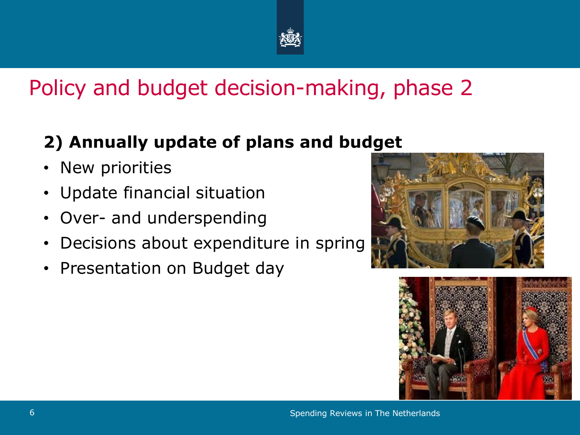

## Policy and budget decision-making, phase 2

#### **2) Annually update of plans and budget**

- New priorities
- Update financial situation
- Over- and underspending
- Decisions about expenditure in spring
- Presentation on Budget day



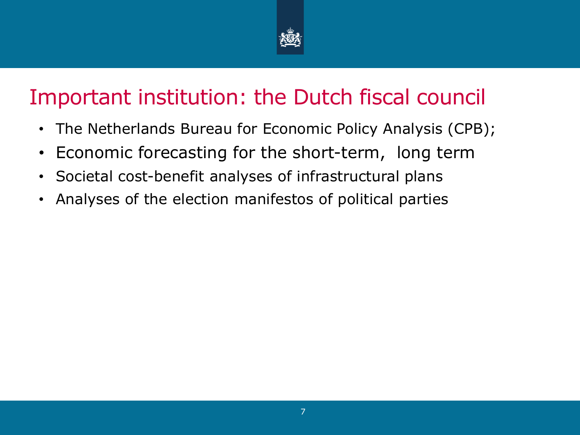

## Important institution: the Dutch fiscal council

- The Netherlands Bureau for Economic Policy Analysis (CPB);
- Economic forecasting for the short-term, long term
- Societal cost-benefit analyses of infrastructural plans
- Analyses of the election manifestos of political parties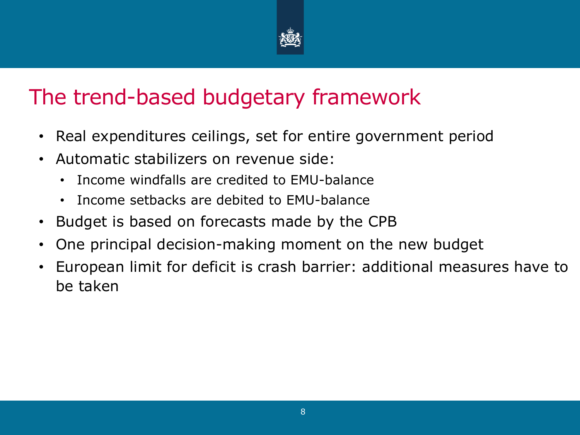

## The trend-based budgetary framework

- Real expenditures ceilings, set for entire government period
- Automatic stabilizers on revenue side:
	- Income windfalls are credited to EMU-balance
	- Income setbacks are debited to EMU-balance
- Budget is based on forecasts made by the CPB
- One principal decision-making moment on the new budget
- European limit for deficit is crash barrier: additional measures have to be taken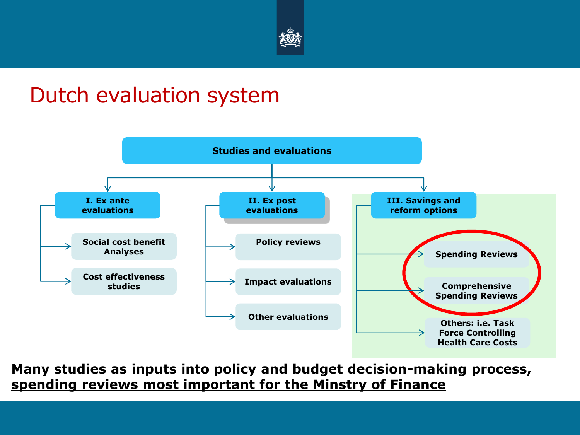

### Dutch evaluation system



**Many studies as inputs into policy and budget decision-making process, spending reviews most important for the Minstry of Finance**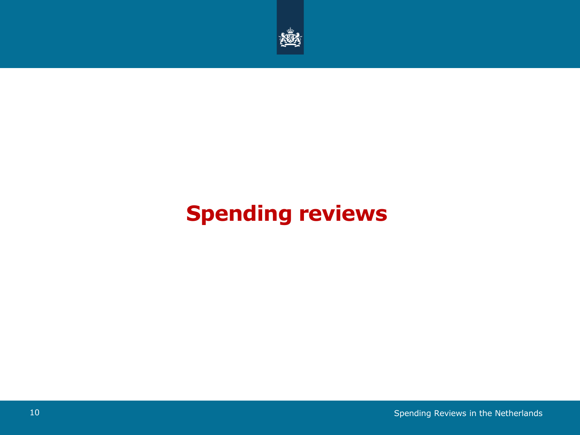

# **Spending reviews**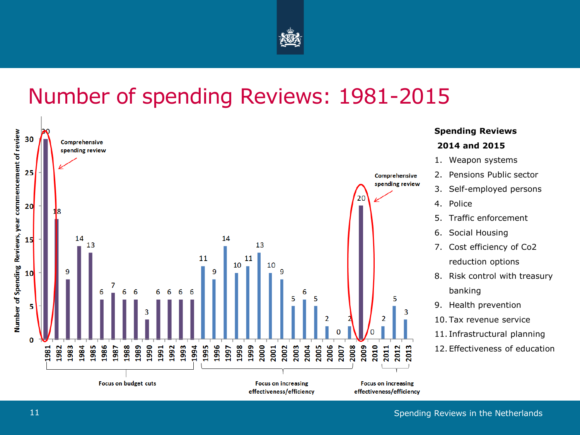

### Number of spending Reviews: 1981-2015

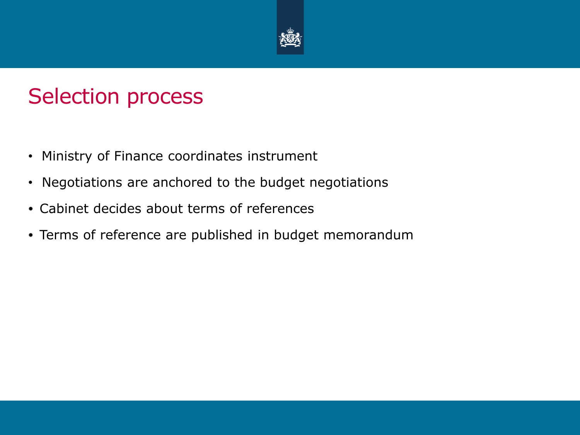

### Selection process

- Ministry of Finance coordinates instrument
- Negotiations are anchored to the budget negotiations
- Cabinet decides about terms of references
- Terms of reference are published in budget memorandum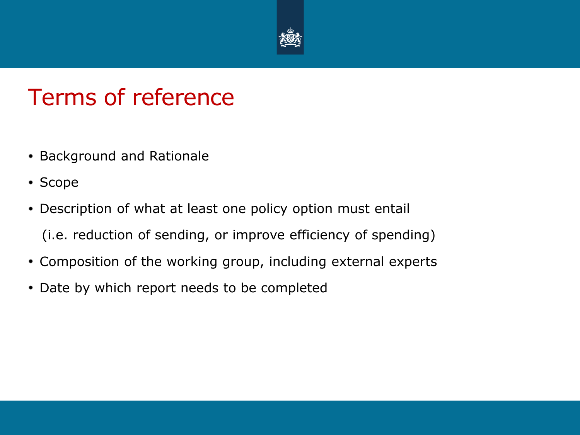

## Terms of reference

- **Background and Rationale**
- Scope
- Description of what at least one policy option must entail
	- (i.e. reduction of sending, or improve efficiency of spending)
- Composition of the working group, including external experts
- Date by which report needs to be completed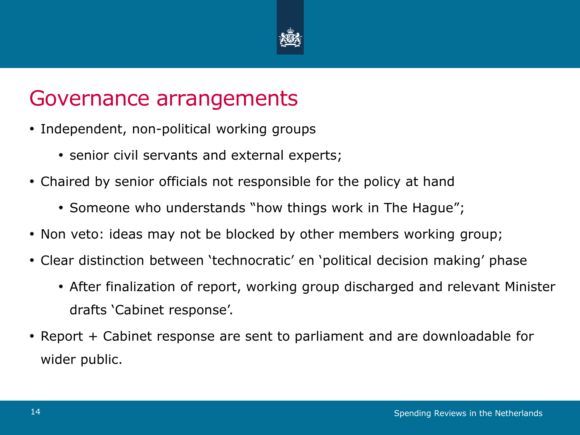

### Governance arrangements

- Independent, non-political working groups
	- senior civil servants and external experts;
- Chaired by senior officials not responsible for the policy at hand
	- Someone who understands "how things work in The Hague";
- Non veto: ideas may not be blocked by other members working group;
- Clear distinction between 'technocratic' en 'political decision making' phase
	- After finalization of report, working group discharged and relevant Minister drafts 'Cabinet response'.
- Report + Cabinet response are sent to parliament and are downloadable for wider public.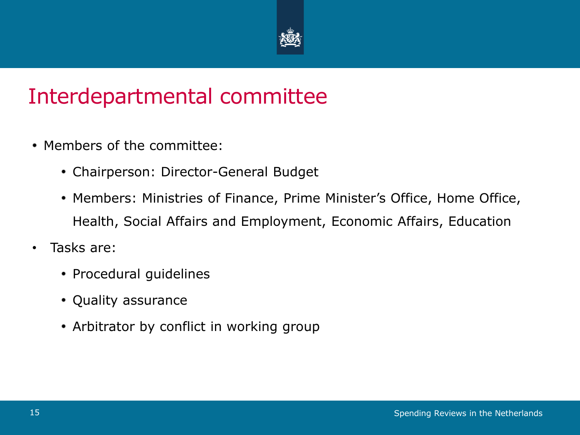

## Interdepartmental committee

- Members of the committee:
	- Chairperson: Director-General Budget
	- Members: Ministries of Finance, Prime Minister's Office, Home Office, Health, Social Affairs and Employment, Economic Affairs, Education
- Tasks are:
	- Procedural guidelines
	- Quality assurance
	- Arbitrator by conflict in working group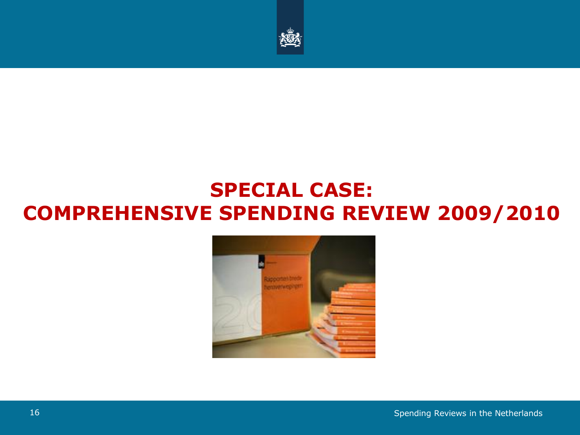

#### **SPECIAL CASE: COMPREHENSIVE SPENDING REVIEW 2009/2010**

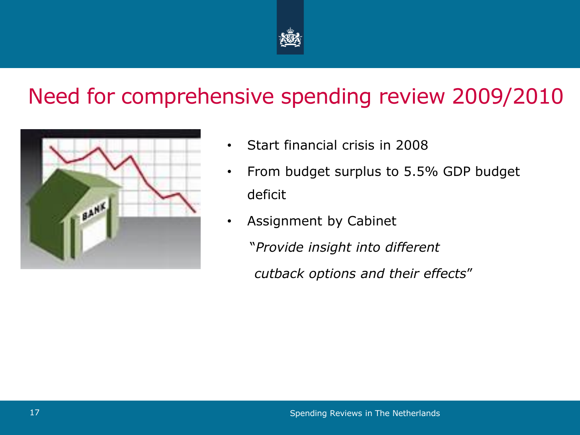

## Need for comprehensive spending review 2009/2010



- Start financial crisis in 2008
- From budget surplus to 5.5% GDP budget deficit
- Assignment by Cabinet
	- "*Provide insight into different*
	- *cutback options and their effects*"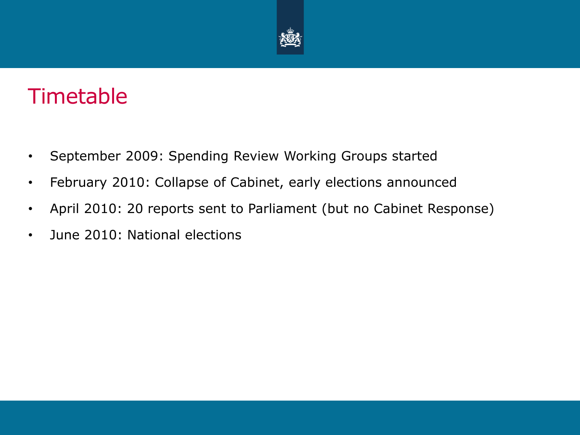

## Timetable

- September 2009: Spending Review Working Groups started
- February 2010: Collapse of Cabinet, early elections announced
- April 2010: 20 reports sent to Parliament (but no Cabinet Response)
- June 2010: National elections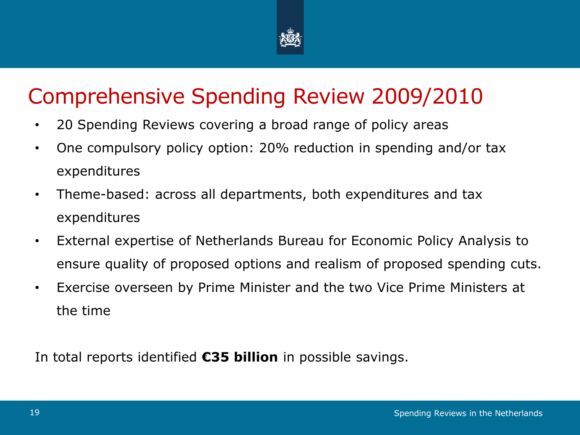

## Comprehensive Spending Review 2009/2010

- 20 Spending Reviews covering a broad range of policy areas
- One compulsory policy option: 20% reduction in spending and/or tax expenditures
- Theme-based: across all departments, both expenditures and tax expenditures
- External expertise of Netherlands Bureau for Economic Policy Analysis to ensure quality of proposed options and realism of proposed spending cuts.
- Exercise overseen by Prime Minister and the two Vice Prime Ministers at the time

In total reports identified **€35 billion** in possible savings.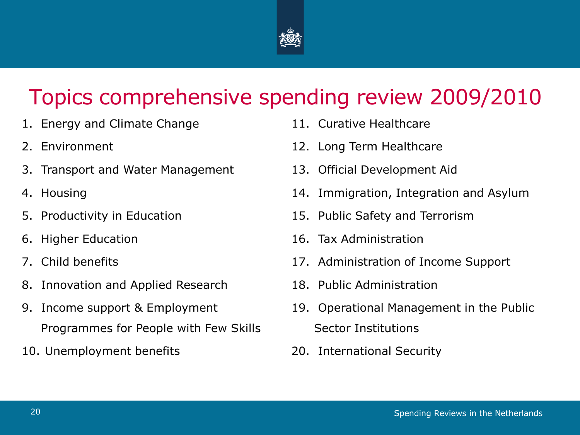

## Topics comprehensive spending review 2009/2010

- 1. Energy and Climate Change
- 2. Environment
- 3. Transport and Water Management
- 4. Housing
- 5. Productivity in Education
- 6. Higher Education
- 7. Child benefits
- 8. Innovation and Applied Research
- 9. Income support & Employment Programmes for People with Few Skills
- 10. Unemployment benefits
- 11. Curative Healthcare
- 12. Long Term Healthcare
- 13. Official Development Aid
- 14. Immigration, Integration and Asylum
- 15. Public Safety and Terrorism
- 16. Tax Administration
- 17. Administration of Income Support
- 18. Public Administration
- 19. Operational Management in the Public Sector Institutions
- 20. International Security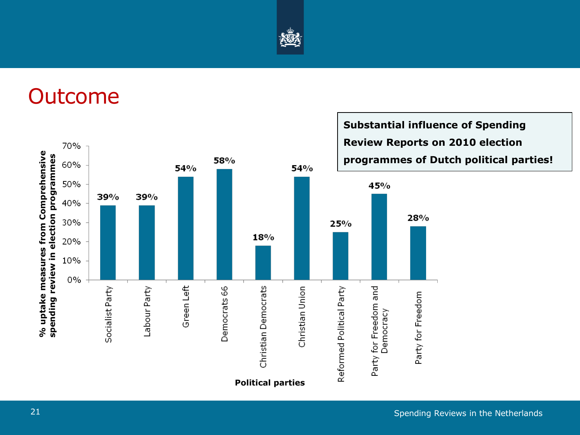

## **Outcome**

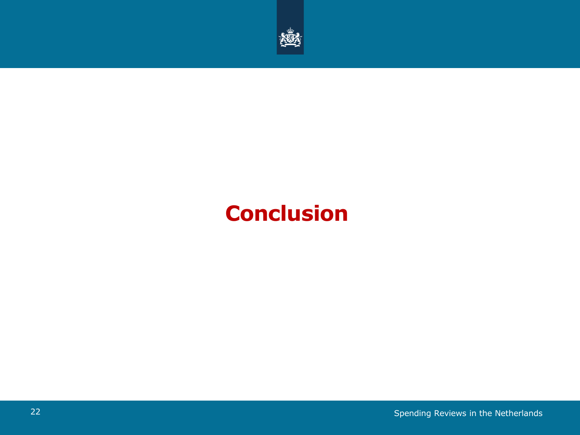

## **Conclusion**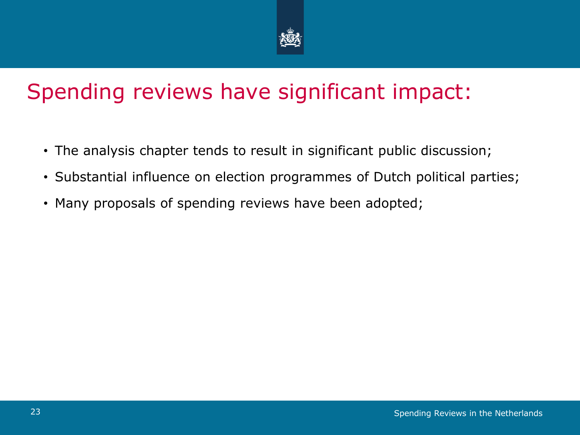

## Spending reviews have significant impact:

- The analysis chapter tends to result in significant public discussion;
- Substantial influence on election programmes of Dutch political parties;
- Many proposals of spending reviews have been adopted;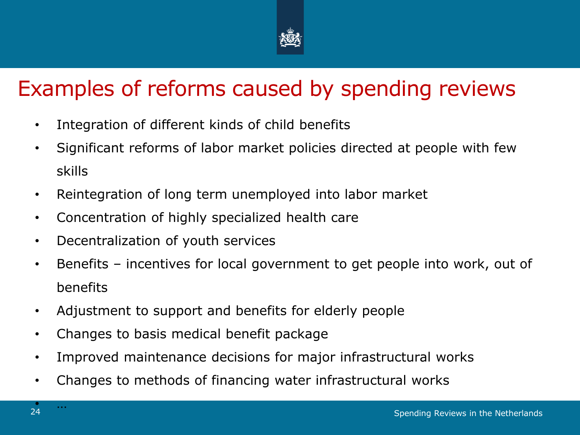

## Examples of reforms caused by spending reviews

- Integration of different kinds of child benefits
- Significant reforms of labor market policies directed at people with few skills
- Reintegration of long term unemployed into labor market
- Concentration of highly specialized health care
- Decentralization of youth services
- Benefits incentives for local government to get people into work, out of benefits
- Adjustment to support and benefits for elderly people
- Changes to basis medical benefit package
- Improved maintenance decisions for major infrastructural works
- Changes to methods of financing water infrastructural works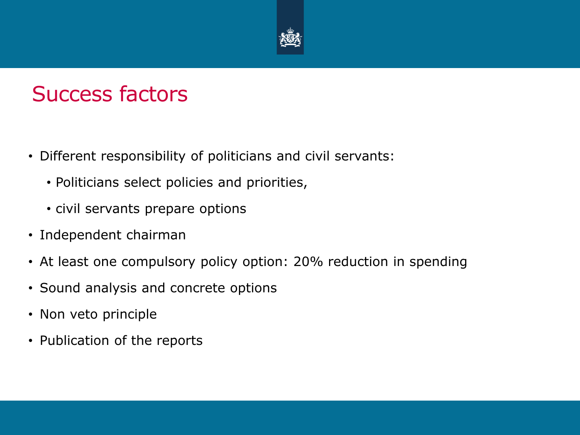

### Success factors

- Different responsibility of politicians and civil servants:
	- Politicians select policies and priorities,
	- civil servants prepare options
- Independent chairman
- At least one compulsory policy option: 20% reduction in spending
- Sound analysis and concrete options
- Non veto principle
- Publication of the reports